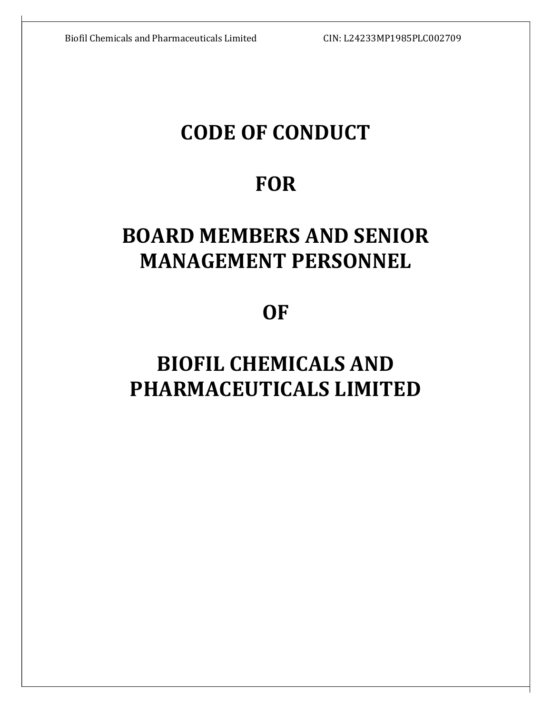# CODE OF CONDUCT

# **FOR**

# BOARD MEMBERS AND SENIOR MANAGEMENT PERSONNEL

**OF** 

# BIOFIL CHEMICALS AND PHARMACEUTICALS LIMITED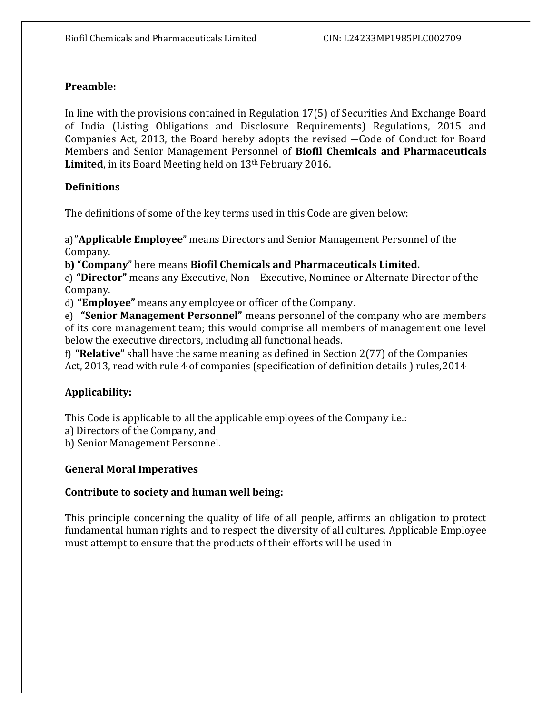# Preamble:

In line with the provisions contained in Regulation 17(5) of Securities And Exchange Board of India (Listing Obligations and Disclosure Requirements) Regulations, 2015 and Companies Act, 2013, the Board hereby adopts the revised ―Code of Conduct for Board Members and Senior Management Personnel of Biofil Chemicals and Pharmaceuticals Limited, in its Board Meeting held on 13<sup>th</sup> February 2016.

# **Definitions**

The definitions of some of the key terms used in this Code are given below:

a)"Applicable Employee" means Directors and Senior Management Personnel of the Company.

b) "Company" here means Biofil Chemicals and Pharmaceuticals Limited.

c) "Director" means any Executive, Non – Executive, Nominee or Alternate Director of the Company.

d) "Employee" means any employee or officer of the Company.

e) "Senior Management Personnel" means personnel of the company who are members of its core management team; this would comprise all members of management one level below the executive directors, including all functional heads.

f) "Relative" shall have the same meaning as defined in Section 2(77) of the Companies Act, 2013, read with rule 4 of companies (specification of definition details ) rules, 2014

# Applicability:

This Code is applicable to all the applicable employees of the Company i.e.:

a) Directors of the Company, and

b) Senior Management Personnel.

# General Moral Imperatives

## Contribute to society and human well being:

This principle concerning the quality of life of all people, affirms an obligation to protect fundamental human rights and to respect the diversity of all cultures. Applicable Employee must attempt to ensure that the products of their efforts will be used in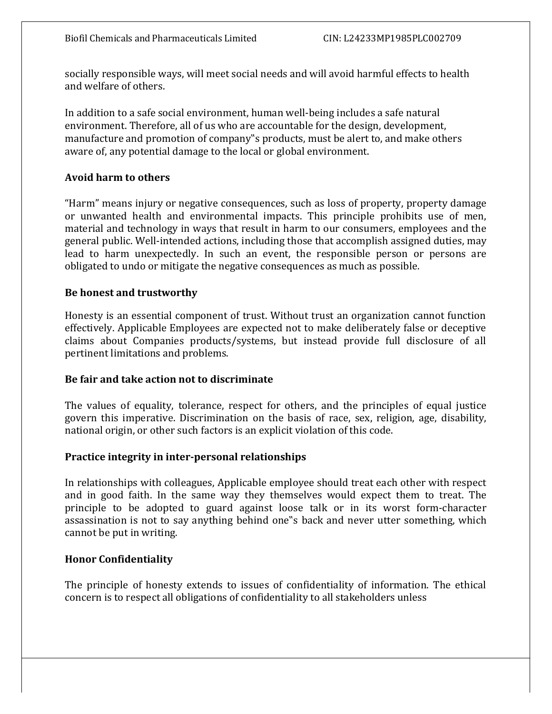socially responsible ways, will meet social needs and will avoid harmful effects to health and welfare of others.

In addition to a safe social environment, human well-being includes a safe natural environment. Therefore, all of us who are accountable for the design, development, manufacture and promotion of company"s products, must be alert to, and make others aware of, any potential damage to the local or global environment.

# Avoid harm to others

"Harm" means injury or negative consequences, such as loss of property, property damage or unwanted health and environmental impacts. This principle prohibits use of men, material and technology in ways that result in harm to our consumers, employees and the general public. Well-intended actions, including those that accomplish assigned duties, may lead to harm unexpectedly. In such an event, the responsible person or persons are obligated to undo or mitigate the negative consequences as much as possible.

# Be honest and trustworthy

Honesty is an essential component of trust. Without trust an organization cannot function effectively. Applicable Employees are expected not to make deliberately false or deceptive claims about Companies products/systems, but instead provide full disclosure of all pertinent limitations and problems.

## Be fair and take action not to discriminate

The values of equality, tolerance, respect for others, and the principles of equal justice govern this imperative. Discrimination on the basis of race, sex, religion, age, disability, national origin, or other such factors is an explicit violation of this code.

## Practice integrity in inter-personal relationships

In relationships with colleagues, Applicable employee should treat each other with respect and in good faith. In the same way they themselves would expect them to treat. The principle to be adopted to guard against loose talk or in its worst form-character assassination is not to say anything behind one"s back and never utter something, which cannot be put in writing.

## Honor Confidentiality

The principle of honesty extends to issues of confidentiality of information. The ethical concern is to respect all obligations of confidentiality to all stakeholders unless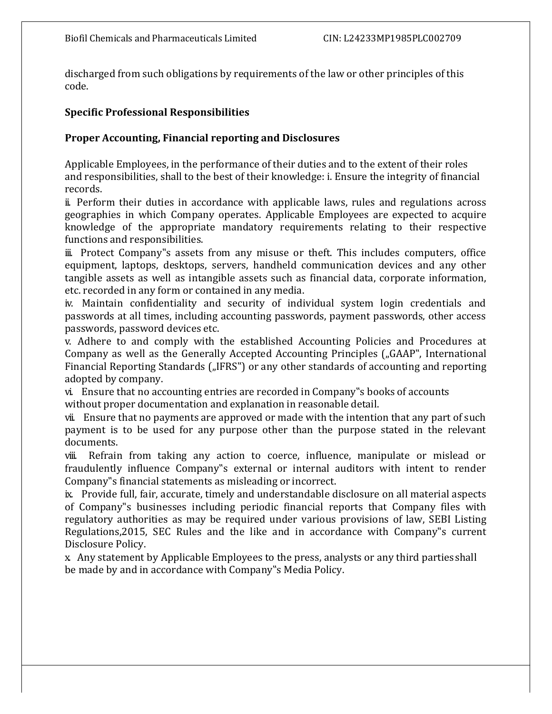discharged from such obligations by requirements of the law or other principles of this code.

#### Specific Professional Responsibilities

## Proper Accounting, Financial reporting and Disclosures

Applicable Employees, in the performance of their duties and to the extent of their roles and responsibilities, shall to the best of their knowledge: i. Ensure the integrity of financial records.

ii. Perform their duties in accordance with applicable laws, rules and regulations across geographies in which Company operates. Applicable Employees are expected to acquire knowledge of the appropriate mandatory requirements relating to their respective functions and responsibilities.

iii. Protect Company"s assets from any misuse or theft. This includes computers, office equipment, laptops, desktops, servers, handheld communication devices and any other tangible assets as well as intangible assets such as financial data, corporate information, etc. recorded in any form or contained in any media.

iv. Maintain confidentiality and security of individual system login credentials and passwords at all times, including accounting passwords, payment passwords, other access passwords, password devices etc.

v. Adhere to and comply with the established Accounting Policies and Procedures at Company as well as the Generally Accepted Accounting Principles ("GAAP", International Financial Reporting Standards ("IFRS") or any other standards of accounting and reporting adopted by company.

vi. Ensure that no accounting entries are recorded in Company"s books of accounts without proper documentation and explanation in reasonable detail.

vii. Ensure that no payments are approved or made with the intention that any part of such payment is to be used for any purpose other than the purpose stated in the relevant documents.

viii. Refrain from taking any action to coerce, influence, manipulate or mislead or fraudulently influence Company"s external or internal auditors with intent to render Company"s financial statements as misleading or incorrect.

ix. Provide full, fair, accurate, timely and understandable disclosure on all material aspects of Company"s businesses including periodic financial reports that Company files with regulatory authorities as may be required under various provisions of law, SEBI Listing Regulations,2015, SEC Rules and the like and in accordance with Company"s current Disclosure Policy.

x. Any statement by Applicable Employees to the press, analysts or any third parties shall be made by and in accordance with Company"s Media Policy.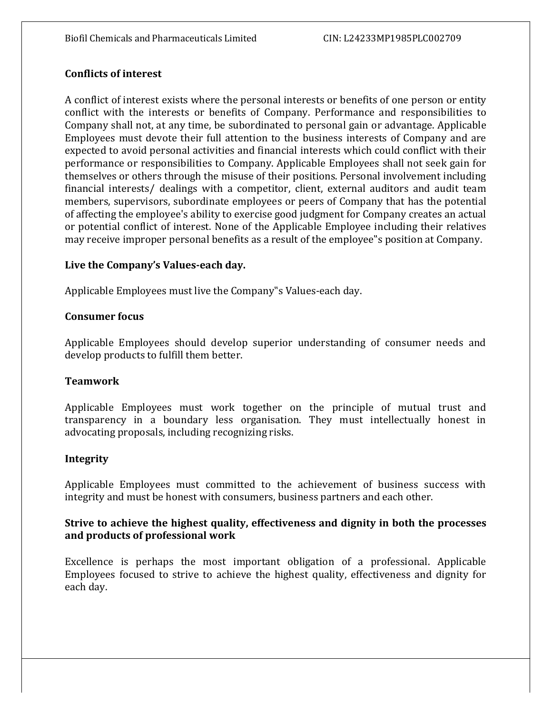## Conflicts of interest

A conflict of interest exists where the personal interests or benefits of one person or entity conflict with the interests or benefits of Company. Performance and responsibilities to Company shall not, at any time, be subordinated to personal gain or advantage. Applicable Employees must devote their full attention to the business interests of Company and are expected to avoid personal activities and financial interests which could conflict with their performance or responsibilities to Company. Applicable Employees shall not seek gain for themselves or others through the misuse of their positions. Personal involvement including financial interests/ dealings with a competitor, client, external auditors and audit team members, supervisors, subordinate employees or peers of Company that has the potential of affecting the employee's ability to exercise good judgment for Company creates an actual or potential conflict of interest. None of the Applicable Employee including their relatives may receive improper personal benefits as a result of the employee"s position at Company.

## Live the Company's Values-each day.

Applicable Employees must live the Company"s Values-each day.

#### Consumer focus

Applicable Employees should develop superior understanding of consumer needs and develop products to fulfill them better.

## Teamwork

Applicable Employees must work together on the principle of mutual trust and transparency in a boundary less organisation. They must intellectually honest in advocating proposals, including recognizing risks.

#### Integrity

Applicable Employees must committed to the achievement of business success with integrity and must be honest with consumers, business partners and each other.

## Strive to achieve the highest quality, effectiveness and dignity in both the processes and products of professional work

Excellence is perhaps the most important obligation of a professional. Applicable Employees focused to strive to achieve the highest quality, effectiveness and dignity for each day.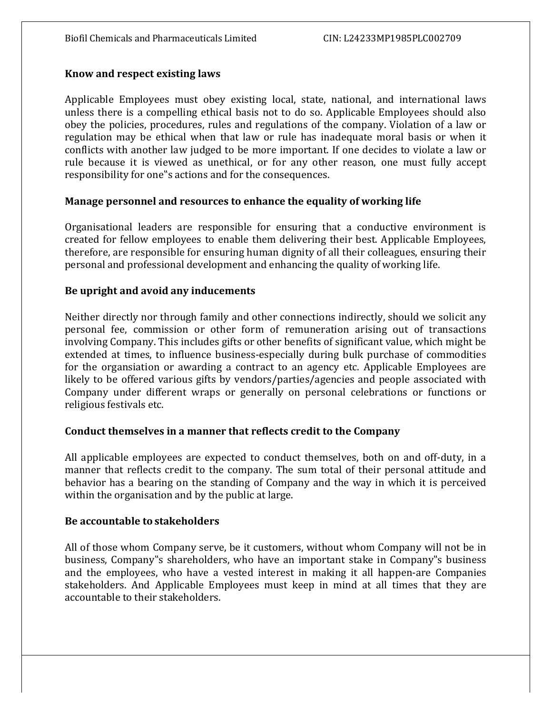#### Know and respect existing laws

Applicable Employees must obey existing local, state, national, and international laws unless there is a compelling ethical basis not to do so. Applicable Employees should also obey the policies, procedures, rules and regulations of the company. Violation of a law or regulation may be ethical when that law or rule has inadequate moral basis or when it conflicts with another law judged to be more important. If one decides to violate a law or rule because it is viewed as unethical, or for any other reason, one must fully accept responsibility for one"s actions and for the consequences.

#### Manage personnel and resources to enhance the equality of working life

Organisational leaders are responsible for ensuring that a conductive environment is created for fellow employees to enable them delivering their best. Applicable Employees, therefore, are responsible for ensuring human dignity of all their colleagues, ensuring their personal and professional development and enhancing the quality of working life.

#### Be upright and avoid any inducements

Neither directly nor through family and other connections indirectly, should we solicit any personal fee, commission or other form of remuneration arising out of transactions involving Company. This includes gifts or other benefits of significant value, which might be extended at times, to influence business-especially during bulk purchase of commodities for the organsiation or awarding a contract to an agency etc. Applicable Employees are likely to be offered various gifts by vendors/parties/agencies and people associated with Company under different wraps or generally on personal celebrations or functions or religious festivals etc.

## Conduct themselves in a manner that reflects credit to the Company

All applicable employees are expected to conduct themselves, both on and off-duty, in a manner that reflects credit to the company. The sum total of their personal attitude and behavior has a bearing on the standing of Company and the way in which it is perceived within the organisation and by the public at large.

#### Be accountable to stakeholders

All of those whom Company serve, be it customers, without whom Company will not be in business, Company"s shareholders, who have an important stake in Company"s business and the employees, who have a vested interest in making it all happen-are Companies stakeholders. And Applicable Employees must keep in mind at all times that they are accountable to their stakeholders.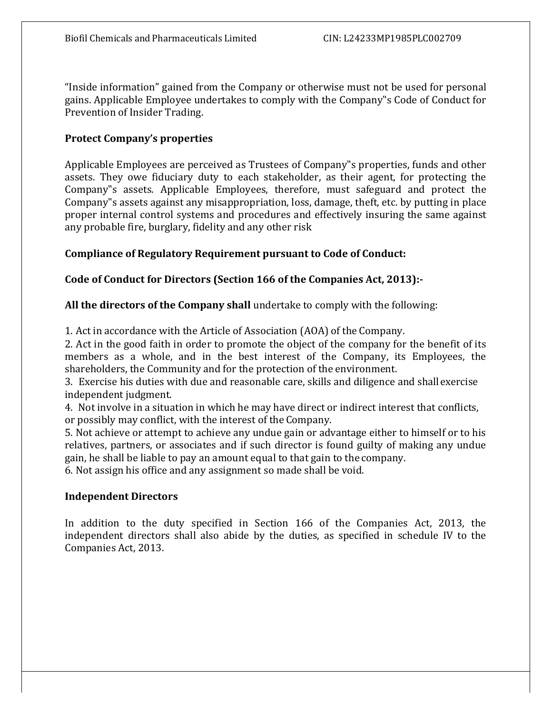"Inside information" gained from the Company or otherwise must not be used for personal gains. Applicable Employee undertakes to comply with the Company"s Code of Conduct for Prevention of Insider Trading.

# Protect Company's properties

Applicable Employees are perceived as Trustees of Company"s properties, funds and other assets. They owe fiduciary duty to each stakeholder, as their agent, for protecting the Company"s assets. Applicable Employees, therefore, must safeguard and protect the Company"s assets against any misappropriation, loss, damage, theft, etc. by putting in place proper internal control systems and procedures and effectively insuring the same against any probable fire, burglary, fidelity and any other risk

# Compliance of Regulatory Requirement pursuant to Code of Conduct:

# Code of Conduct for Directors (Section 166 of the Companies Act, 2013):-

# All the directors of the Company shall undertake to comply with the following:

1. Act in accordance with the Article of Association (AOA) of the Company.

2. Act in the good faith in order to promote the object of the company for the benefit of its members as a whole, and in the best interest of the Company, its Employees, the shareholders, the Community and for the protection of the environment.

3. Exercise his duties with due and reasonable care, skills and diligence and shall exercise independent judgment.

4. Not involve in a situation in which he may have direct or indirect interest that conflicts, or possibly may conflict, with the interest of the Company.

5. Not achieve or attempt to achieve any undue gain or advantage either to himself or to his relatives, partners, or associates and if such director is found guilty of making any undue gain, he shall be liable to pay an amount equal to that gain to the company.

6. Not assign his office and any assignment so made shall be void.

## Independent Directors

In addition to the duty specified in Section 166 of the Companies Act, 2013, the independent directors shall also abide by the duties, as specified in schedule IV to the Companies Act, 2013.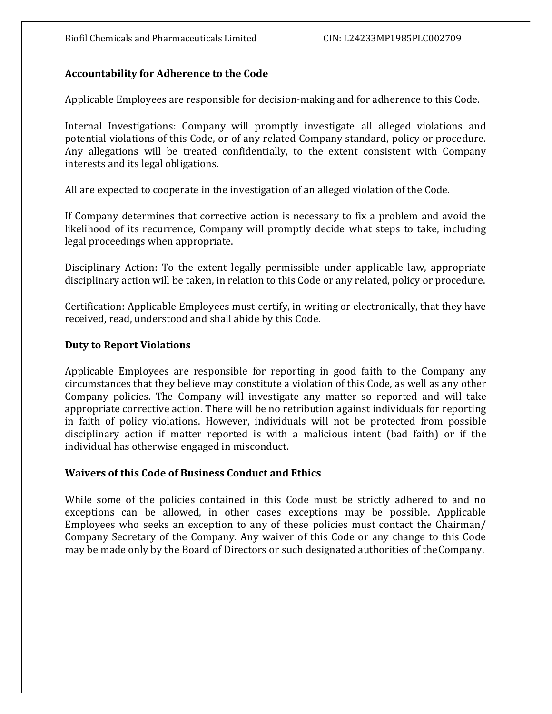# Accountability for Adherence to the Code

Applicable Employees are responsible for decision-making and for adherence to this Code.

Internal Investigations: Company will promptly investigate all alleged violations and potential violations of this Code, or of any related Company standard, policy or procedure. Any allegations will be treated confidentially, to the extent consistent with Company interests and its legal obligations.

All are expected to cooperate in the investigation of an alleged violation of the Code.

If Company determines that corrective action is necessary to fix a problem and avoid the likelihood of its recurrence, Company will promptly decide what steps to take, including legal proceedings when appropriate.

Disciplinary Action: To the extent legally permissible under applicable law, appropriate disciplinary action will be taken, in relation to this Code or any related, policy or procedure.

Certification: Applicable Employees must certify, in writing or electronically, that they have received, read, understood and shall abide by this Code.

## Duty to Report Violations

Applicable Employees are responsible for reporting in good faith to the Company any circumstances that they believe may constitute a violation of this Code, as well as any other Company policies. The Company will investigate any matter so reported and will take appropriate corrective action. There will be no retribution against individuals for reporting in faith of policy violations. However, individuals will not be protected from possible disciplinary action if matter reported is with a malicious intent (bad faith) or if the individual has otherwise engaged in misconduct.

## Waivers of this Code of Business Conduct and Ethics

While some of the policies contained in this Code must be strictly adhered to and no exceptions can be allowed, in other cases exceptions may be possible. Applicable Employees who seeks an exception to any of these policies must contact the Chairman/ Company Secretary of the Company. Any waiver of this Code or any change to this Code may be made only by the Board of Directors or such designated authorities of the Company.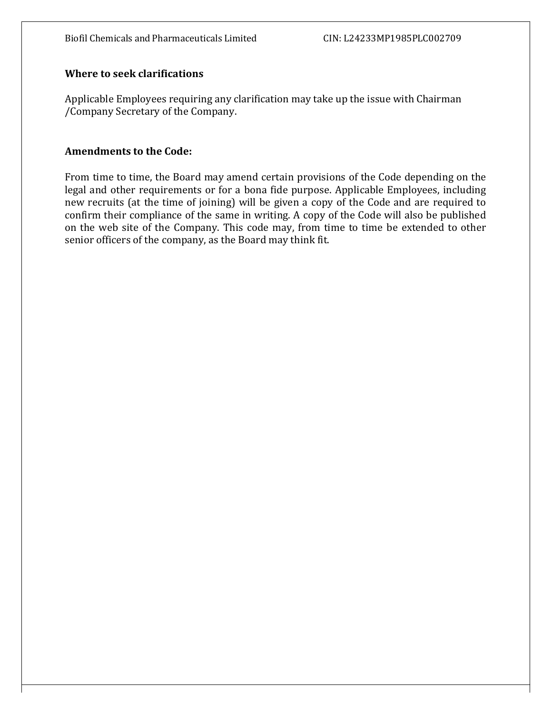#### Where to seek clarifications

Applicable Employees requiring any clarification may take up the issue with Chairman /Company Secretary of the Company.

#### Amendments to the Code:

From time to time, the Board may amend certain provisions of the Code depending on the legal and other requirements or for a bona fide purpose. Applicable Employees, including new recruits (at the time of joining) will be given a copy of the Code and are required to confirm their compliance of the same in writing. A copy of the Code will also be published on the web site of the Company. This code may, from time to time be extended to other senior officers of the company, as the Board may think fit.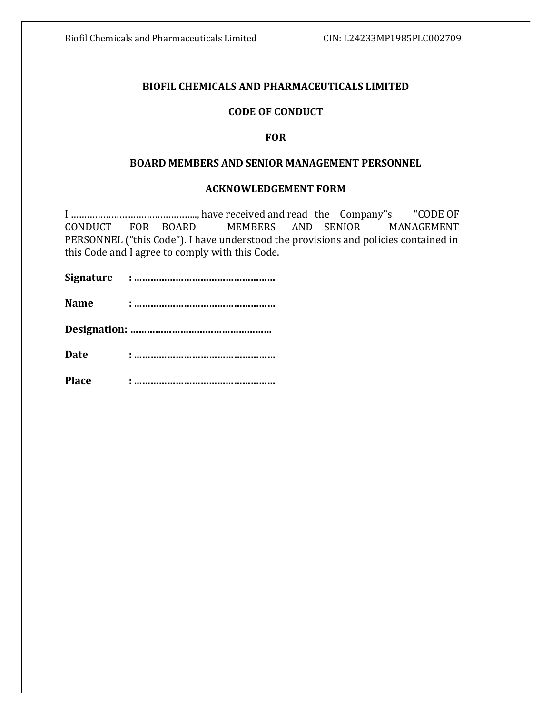#### BIOFIL CHEMICALS AND PHARMACEUTICALS LIMITED

#### CODE OF CONDUCT

#### **FOR**

#### BOARD MEMBERS AND SENIOR MANAGEMENT PERSONNEL

#### ACKNOWLEDGEMENT FORM

I ……………………………………….., have received and read the Company"s "CODE OF CONDUCT FOR BOARD MEMBERS AND SENIOR MANAGEMENT PERSONNEL ("this Code"). I have understood the provisions and policies contained in this Code and I agree to comply with this Code.

Signature : ……………………………………………

Name : ……………………………………………

Designation: ……………………………………………

Date : ……………………………………………

Place : ……………………………………………